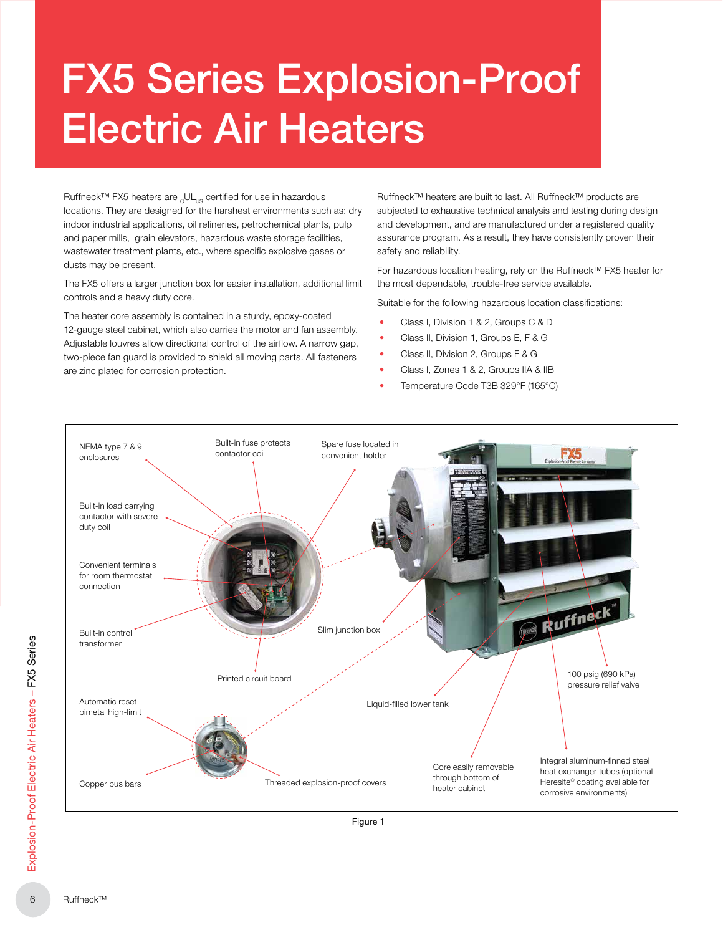# FX5 Series Explosion-Proof Electric Air Heaters

Ruffneck™ FX5 heaters are <sub>c</sub>UL<sub>us</sub> certified for use in hazardous locations. They are designed for the harshest environments such as: dry indoor industrial applications, oil refineries, petrochemical plants, pulp and paper mills, grain elevators, hazardous waste storage facilities, wastewater treatment plants, etc., where specific explosive gases or dusts may be present.

The FX5 offers a larger junction box for easier installation, additional limit controls and a heavy duty core.

The heater core assembly is contained in a sturdy, epoxy-coated 12-gauge steel cabinet, which also carries the motor and fan assembly. Adjustable louvres allow directional control of the airflow. A narrow gap, two-piece fan guard is provided to shield all moving parts. All fasteners are zinc plated for corrosion protection.

Ruffneck™ heaters are built to last. All Ruffneck™ products are subjected to exhaustive technical analysis and testing during design and development, and are manufactured under a registered quality assurance program. As a result, they have consistently proven their safety and reliability.

For hazardous location heating, rely on the Ruffneck™ FX5 heater for the most dependable, trouble-free service available.

Suitable for the following hazardous location classifications:

- Class I, Division 1 & 2, Groups C & D
- Class II, Division 1, Groups E, F & G
- Class II, Division 2, Groups F & G
- Class I, Zones 1 & 2, Groups IIA & IIB
- Temperature Code T3B 329°F (165°C)

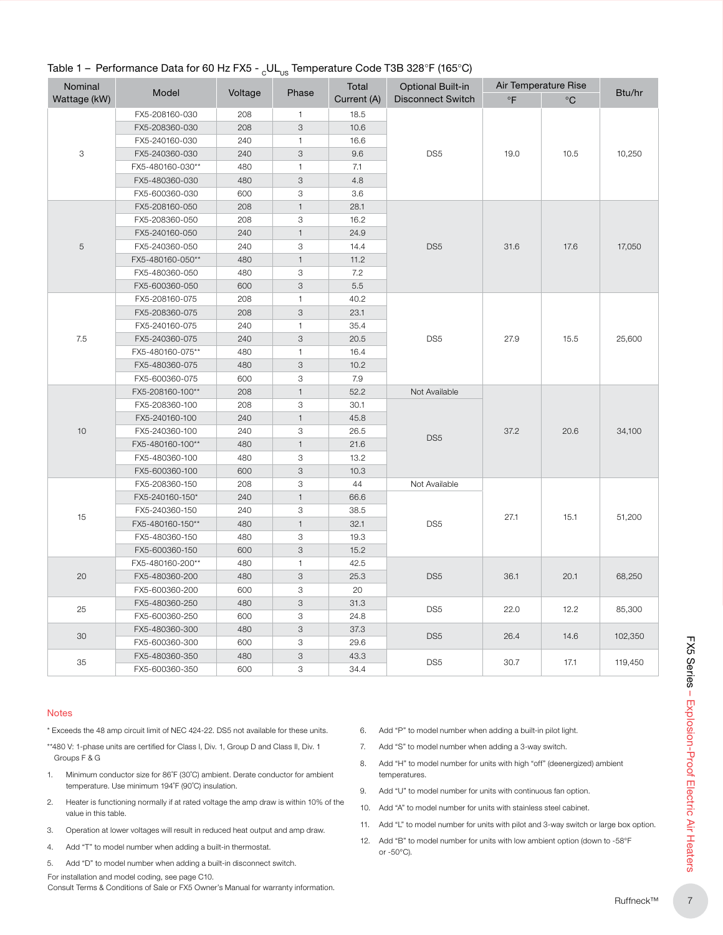| Nominal                   | Model            |         |              | Total       | <b>Optional Built-in</b> | Air Temperature Rise |             |         |
|---------------------------|------------------|---------|--------------|-------------|--------------------------|----------------------|-------------|---------|
| Wattage (kW)              |                  | Voltage | Phase        | Current (A) | <b>Disconnect Switch</b> | $\circ$ F            | $^{\circ}C$ | Btu/hr  |
|                           | FX5-208160-030   | 208     | $\mathbf{1}$ | 18.5        |                          |                      |             |         |
|                           | FX5-208360-030   | 208     | 3            | 10.6        |                          |                      |             |         |
|                           | FX5-240160-030   | 240     | $\mathbf{1}$ | 16.6        |                          |                      |             |         |
| $\ensuremath{\mathsf{3}}$ | FX5-240360-030   | 240     | 3            | 9.6         | DS <sub>5</sub>          | 19.0                 | 10.5        | 10,250  |
|                           | FX5-480160-030** | 480     | $\mathbf{1}$ | 7.1         |                          |                      |             |         |
|                           | FX5-480360-030   | 480     | 3            | 4.8         |                          |                      |             |         |
|                           | FX5-600360-030   | 600     | 3            | 3.6         |                          |                      |             |         |
|                           | FX5-208160-050   | 208     | $\mathbf{1}$ | 28.1        |                          |                      |             | 17,050  |
|                           | FX5-208360-050   | 208     | 3            | 16.2        |                          |                      |             |         |
|                           | FX5-240160-050   | 240     | $\mathbf{1}$ | 24.9        |                          |                      |             |         |
| 5                         | FX5-240360-050   | 240     | 3            | 14.4        | DS <sub>5</sub>          | 31.6                 | 17.6        |         |
|                           | FX5-480160-050** | 480     | $\mathbf{1}$ | 11.2        |                          |                      |             |         |
|                           | FX5-480360-050   | 480     | 3            | 7.2         |                          |                      |             |         |
|                           | FX5-600360-050   | 600     | 3            | 5.5         |                          |                      |             |         |
|                           | FX5-208160-075   | 208     | $\mathbf{1}$ | 40.2        |                          | 27.9                 | 15.5        | 25,600  |
|                           | FX5-208360-075   | 208     | 3            | 23.1        |                          |                      |             |         |
|                           | FX5-240160-075   | 240     | $\mathbf{1}$ | 35.4        | DS <sub>5</sub>          |                      |             |         |
| 7.5                       | FX5-240360-075   | 240     | 3            | 20.5        |                          |                      |             |         |
|                           | FX5-480160-075** | 480     | $\mathbf{1}$ | 16.4        |                          |                      |             |         |
|                           | FX5-480360-075   | 480     | 3            | 10.2        |                          |                      |             |         |
|                           | FX5-600360-075   | 600     | 3            | 7.9         |                          |                      |             |         |
|                           | FX5-208160-100** | 208     | $\mathbf{1}$ | 52.2        | Not Available            | 37.2                 | 20.6        | 34,100  |
|                           | FX5-208360-100   | 208     | 3            | 30.1        |                          |                      |             |         |
|                           | FX5-240160-100   | 240     | $\mathbf{1}$ | 45.8        |                          |                      |             |         |
| 10                        | FX5-240360-100   | 240     | 3            | 26.5        | DS <sub>5</sub>          |                      |             |         |
|                           | FX5-480160-100** | 480     | $\mathbf{1}$ | 21.6        |                          |                      |             |         |
|                           | FX5-480360-100   | 480     | 3            | 13.2        |                          |                      |             |         |
|                           | FX5-600360-100   | 600     | 3            | 10.3        |                          |                      |             |         |
|                           | FX5-208360-150   | 208     | 3            | 44          | Not Available            |                      |             |         |
|                           | FX5-240160-150*  | 240     | $\mathbf{1}$ | 66.6        |                          | 27.1                 |             |         |
|                           | FX5-240360-150   | 240     | 3            | 38.5        |                          |                      |             |         |
| 15                        | FX5-480160-150** | 480     | $\mathbf{1}$ | 32.1        | DS <sub>5</sub>          |                      | 15.1        | 51,200  |
|                           | FX5-480360-150   | 480     | 3            | 19.3        |                          |                      |             |         |
|                           | FX5-600360-150   | 600     | 3            | 15.2        |                          |                      |             |         |
|                           | FX5-480160-200** | 480     | $\mathbf{1}$ | 42.5        |                          |                      |             |         |
| 20                        | FX5-480360-200   | 480     | 3            | 25.3        | DS <sub>5</sub>          | 36.1                 | 20.1        | 68,250  |
|                           | FX5-600360-200   | 600     | 3            | 20          |                          |                      |             |         |
|                           | FX5-480360-250   | 480     | 3            | 31.3        | DS <sub>5</sub>          |                      |             |         |
| 25                        | FX5-600360-250   | 600     | 3            | 24.8        |                          | 22.0                 | 12.2        | 85,300  |
|                           | FX5-480360-300   | 480     | $\,$ 3 $\,$  | 37.3        |                          | 26.4                 | 14.6        | 102,350 |
| 30                        | FX5-600360-300   | 600     | 3            | 29.6        | DS <sub>5</sub>          |                      |             |         |
|                           | FX5-480360-350   | 480     | 3            | 43.3        |                          |                      |             |         |
| 35                        | FX5-600360-350   | 600     | 3            | 34.4        | DS <sub>5</sub>          | 30.7                 | 17.1        | 119,450 |

# Table 1 – Performance Data for 60 Hz FX5 - UL<sub>us</sub> Temperature Code T3B 328°F (165°C)

#### **Notes**

\* Exceeds the 48 amp circuit limit of NEC 424-22. DS5 not available for these units.

\*\*480 V: 1-phase units are certified for Class I, Div. 1, Group D and Class II, Div. 1 Groups F & G

- 1. Minimum conductor size for 86˚F (30˚C) ambient. Derate conductor for ambient temperature. Use minimum 194˚F (90˚C) insulation.
- 2. Heater is functioning normally if at rated voltage the amp draw is within 10% of the value in this table.
- 3. Operation at lower voltages will result in reduced heat output and amp draw.
- 4. Add "T" to model number when adding a built-in thermostat.
- 5. Add "D" to model number when adding a built‑in disconnect switch.

For installation and model coding, see page C10. Consult Terms & Conditions of Sale or FX5 Owner's Manual for warranty information.

- 6. Add "P" to model number when adding a built‑in pilot light.
- 7. Add "S" to model number when adding a 3-way switch.
- 8. Add "H" to model number for units with high "off" (deenergized) ambient temperatures.
- 9. Add "U" to model number for units with continuous fan option.
- 10. Add "A" to model number for units with stainless steel cabinet.
- 11. Add "L" to model number for units with pilot and 3-way switch or large box option.
- 12. Add "B" to model number for units with low ambient option (down to -58°F or -50°C).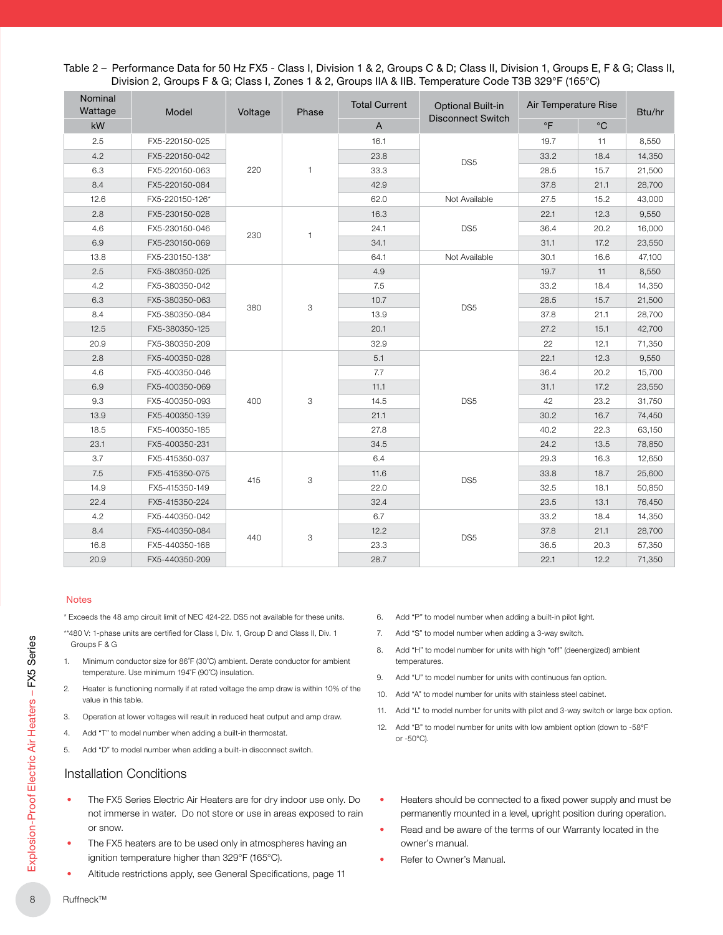| Nominal<br>Wattage<br>Model |                 | Voltage | Phase | <b>Total Current</b> | <b>Optional Built-in</b> | Air Temperature Rise |             | Btu/hr |  |
|-----------------------------|-----------------|---------|-------|----------------------|--------------------------|----------------------|-------------|--------|--|
| kW                          |                 |         |       | $\overline{A}$       | <b>Disconnect Switch</b> | $\circ$ F            | $^{\circ}C$ |        |  |
| 2.5                         | FX5-220150-025  |         |       | 16.1                 | DS <sub>5</sub>          | 19.7                 | 11          | 8,550  |  |
| 4.2                         | FX5-220150-042  |         |       | 23.8                 |                          | 33.2                 | 18.4        | 14,350 |  |
| 6.3                         | FX5-220150-063  | 220     | 1     | 33.3                 |                          | 28.5                 | 15.7        | 21,500 |  |
| 8.4                         | FX5-220150-084  |         |       | 42.9                 |                          | 37.8                 | 21.1        | 28,700 |  |
| 12.6                        | FX5-220150-126* |         |       | 62.0                 | Not Available            | 27.5                 | 15.2        | 43,000 |  |
| 2.8                         | FX5-230150-028  |         |       | 16.3                 | DS <sub>5</sub>          | 22.1                 | 12.3        | 9,550  |  |
| 4.6                         | FX5-230150-046  | 230     | 1     | 24.1                 |                          | 36.4                 | 20.2        | 16,000 |  |
| 6.9                         | FX5-230150-069  |         |       | 34.1                 |                          | 31.1                 | 17.2        | 23,550 |  |
| 13.8                        | FX5-230150-138* |         |       | 64.1                 | Not Available            | 30.1                 | 16.6        | 47,100 |  |
| 2.5                         | FX5-380350-025  |         | 3     | 4.9                  | DS <sub>5</sub>          | 19.7                 | 11          | 8,550  |  |
| 4.2                         | FX5-380350-042  |         |       | 7.5                  |                          | 33.2                 | 18.4        | 14,350 |  |
| 6.3                         | FX5-380350-063  |         |       | 10.7                 |                          | 28.5                 | 15.7        | 21,500 |  |
| 8.4                         | FX5-380350-084  | 380     |       | 13.9                 |                          | 37.8                 | 21.1        | 28,700 |  |
| 12.5                        | FX5-380350-125  |         |       | 20.1                 |                          | 27.2                 | 15.1        | 42,700 |  |
| 20.9                        | FX5-380350-209  |         |       | 32.9                 |                          | 22                   | 12.1        | 71,350 |  |
| 2.8                         | FX5-400350-028  |         |       | 5.1                  | DS <sub>5</sub>          | 22.1                 | 12.3        | 9,550  |  |
| 4.6                         | FX5-400350-046  |         |       | 7.7                  |                          | 36.4                 | 20.2        | 15,700 |  |
| 6.9                         | FX5-400350-069  |         |       | 11.1                 |                          | 31.1                 | 17.2        | 23,550 |  |
| 9.3                         | FX5-400350-093  | 400     | 3     | 14.5                 |                          | 42                   | 23.2        | 31,750 |  |
| 13.9                        | FX5-400350-139  |         |       | 21.1                 |                          | 30.2                 | 16.7        | 74,450 |  |
| 18.5                        | FX5-400350-185  |         |       | 27.8                 |                          | 40.2                 | 22.3        | 63,150 |  |
| 23.1                        | FX5-400350-231  |         |       | 34.5                 |                          | 24.2                 | 13.5        | 78,850 |  |
| 3.7                         | FX5-415350-037  |         |       | 6.4                  |                          | 29.3                 | 16.3        | 12,650 |  |
| 7.5                         | FX5-415350-075  | 415     |       | 11.6                 |                          | 33.8                 | 18.7        | 25,600 |  |
| 14.9                        | FX5-415350-149  |         | 3     | 22.0                 | DS <sub>5</sub>          | 32.5                 | 18.1        | 50,850 |  |
| 22.4                        | FX5-415350-224  |         |       | 32.4                 |                          | 23.5                 | 13.1        | 76,450 |  |
| 4.2                         | FX5-440350-042  |         |       | 6.7                  |                          | 33.2                 | 18.4        | 14,350 |  |
| 8.4                         | FX5-440350-084  | 440     | 3     | 12.2                 | DS <sub>5</sub>          | 37.8                 | 21.1        | 28,700 |  |
| 16.8                        | FX5-440350-168  |         |       | 23.3                 |                          | 36.5                 | 20.3        | 57,350 |  |
| 20.9                        | FX5-440350-209  |         |       | 28.7                 |                          | 22.1                 | 12.2        | 71,350 |  |

### Table 2 – Performance Data for 50 Hz FX5 - Class I, Division 1 & 2, Groups C & D; Class II, Division 1, Groups E, F & G; Class II, Division 2, Groups F & G; Class I, Zones 1 & 2, Groups IIA & IIB. Temperature Code T3B 329°F (165°C)

#### Notes

\* Exceeds the 48 amp circuit limit of NEC 424-22. DS5 not available for these units.

\*\*480 V: 1-phase units are certified for Class I, Div. 1, Group D and Class II, Div. 1 Groups F & G

- 1. Minimum conductor size for 86˚F (30˚C) ambient. Derate conductor for ambient temperature. Use minimum 194˚F (90˚C) insulation.
- 2. Heater is functioning normally if at rated voltage the amp draw is within 10% of the value in this table.
- 3. Operation at lower voltages will result in reduced heat output and amp draw.
- 4. Add "T" to model number when adding a built-in thermostat.
- 5. Add "D" to model number when adding a built‑in disconnect switch.

# Installation Conditions

- The FX5 Series Electric Air Heaters are for dry indoor use only. Do not immerse in water. Do not store or use in areas exposed to rain or snow.
- The FX5 heaters are to be used only in atmospheres having an ignition temperature higher than 329°F (165°C).
- Altitude restrictions apply, see General Specifications, page 11
- 6. Add "P" to model number when adding a built-in pilot light.
- 7. Add "S" to model number when adding a 3-way switch.
- 8. Add "H" to model number for units with high "off" (deenergized) ambient temperatures.
- 9. Add "U" to model number for units with continuous fan option.
- 10. Add "A" to model number for units with stainless steel cabinet.
- 11. Add "L" to model number for units with pilot and 3-way switch or large box option.
- 12. Add "B" to model number for units with low ambient option (down to -58°F or -50°C).
- Heaters should be connected to a fixed power supply and must be permanently mounted in a level, upright position during operation.
- Read and be aware of the terms of our Warranty located in the owner's manual.
- Refer to Owner's Manual.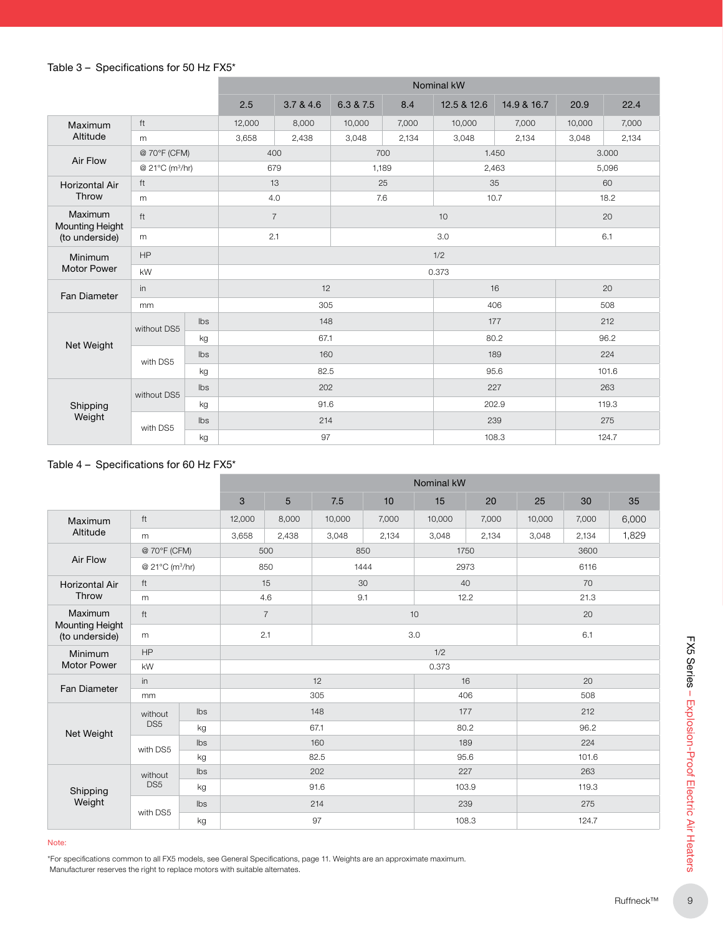# Table 3 – Specifications for 50 Hz FX5\*

|                                                             |                             |                | Nominal kW     |           |           |       |             |             |        |       |  |
|-------------------------------------------------------------|-----------------------------|----------------|----------------|-----------|-----------|-------|-------------|-------------|--------|-------|--|
|                                                             |                             |                | 2.5            | 3.7 & 4.6 | 6.3 & 7.5 | 8.4   | 12.5 & 12.6 | 14.9 & 16.7 | 20.9   | 22.4  |  |
| Maximum                                                     | ft                          |                | 12,000         | 8,000     | 10,000    | 7,000 | 10,000      | 7,000       | 10,000 | 7,000 |  |
| Altitude                                                    | m                           |                | 3,658          | 2,438     | 3,048     | 2,134 | 3,048       | 2,134       | 3,048  | 2,134 |  |
| Air Flow                                                    | @ 70°F (CFM)                |                |                | 400       | 700       |       | 1.450       |             | 3.000  |       |  |
|                                                             | @ 21°C (m <sup>3</sup> /hr) |                | 679            |           | 1,189     |       |             | 2,463       |        | 5,096 |  |
| <b>Horizontal Air</b>                                       | ft                          |                | 13             |           | 25        |       | 35          | 60          |        |       |  |
| Throw                                                       | m                           |                | 4.0            |           | 7.6       |       |             | 10.7        | 18.2   |       |  |
| Maximum<br><b>Mounting Height</b>                           | ft                          |                | $\overline{7}$ |           |           | 10    |             |             | 20     |       |  |
| (to underside)                                              | m                           |                | 2.1            |           | 3.0       |       |             |             | 6.1    |       |  |
| <b>Minimum</b><br><b>Motor Power</b><br><b>Fan Diameter</b> | HP                          |                | 1/2            |           |           |       |             |             |        |       |  |
|                                                             | kW                          |                | 0.373          |           |           |       |             |             |        |       |  |
|                                                             | in                          |                | 12             |           |           |       | 16          |             | 20     |       |  |
|                                                             | mm                          |                | 305            |           |           |       |             | 406         | 508    |       |  |
|                                                             | without DS5                 | $\mathsf{lbs}$ |                | 148       |           |       | 177         |             | 212    |       |  |
| Net Weight                                                  |                             | kg             | 67.1           |           |           |       | 80.2        |             | 96.2   |       |  |
|                                                             | with DS5                    | Ibs            | 160            |           |           |       | 189         |             | 224    |       |  |
|                                                             |                             | kg             | 82.5           |           |           |       | 95.6        |             | 101.6  |       |  |
|                                                             | without DS5                 | Ibs            | 202            |           |           |       | 227         |             | 263    |       |  |
| Shipping                                                    |                             | kg             | 91.6           |           |           |       | 202.9       |             | 119.3  |       |  |
| Weight                                                      | with DS5                    | Ibs            |                | 214       |           |       | 239         |             | 275    |       |  |
|                                                             |                             | kg             |                | 97        |           |       |             | 108.3       |        | 124.7 |  |

## Table 4 – Specifications for 60 Hz FX5\*

| ft<br>m<br>@ 70°F (CFM)<br>@ 21°C (m <sup>3</sup> /hr)<br>ft<br>m<br>ft<br>m<br>HP<br>kW |     | 3<br>12,000<br>3,658 | $5\phantom{.0}$<br>8,000<br>2,438<br>500<br>850<br>15<br>4.6<br>$\overline{7}$ | 7.5<br>10,000<br>3,048<br>850<br>1444<br>30<br>9.1                          | 10<br>7,000<br>2,134 | 15<br>10,000<br>3,048 | 20<br>7,000<br>2,134<br>1750<br>2973<br>40<br>12.2 | 25<br>10,000<br>3,048                                                                                                         | 30<br>7,000<br>2,134<br>3600<br>6116<br>70 | 35<br>6,000<br>1,829 |  |  |
|------------------------------------------------------------------------------------------|-----|----------------------|--------------------------------------------------------------------------------|-----------------------------------------------------------------------------|----------------------|-----------------------|----------------------------------------------------|-------------------------------------------------------------------------------------------------------------------------------|--------------------------------------------|----------------------|--|--|
|                                                                                          |     |                      |                                                                                |                                                                             |                      |                       |                                                    |                                                                                                                               |                                            |                      |  |  |
|                                                                                          |     |                      |                                                                                |                                                                             |                      |                       |                                                    |                                                                                                                               |                                            |                      |  |  |
|                                                                                          |     |                      |                                                                                |                                                                             |                      |                       |                                                    |                                                                                                                               |                                            |                      |  |  |
|                                                                                          |     |                      |                                                                                |                                                                             |                      |                       |                                                    |                                                                                                                               |                                            |                      |  |  |
|                                                                                          |     |                      |                                                                                |                                                                             |                      |                       |                                                    |                                                                                                                               |                                            |                      |  |  |
|                                                                                          |     |                      |                                                                                |                                                                             |                      |                       |                                                    |                                                                                                                               |                                            |                      |  |  |
|                                                                                          |     |                      |                                                                                |                                                                             |                      |                       |                                                    |                                                                                                                               |                                            | 21.3                 |  |  |
|                                                                                          |     |                      |                                                                                |                                                                             |                      | 10                    |                                                    | 20                                                                                                                            |                                            |                      |  |  |
|                                                                                          |     |                      |                                                                                | 2.1<br>3.0                                                                  |                      |                       |                                                    |                                                                                                                               |                                            | 6.1                  |  |  |
|                                                                                          |     |                      | 1/2                                                                            |                                                                             |                      |                       |                                                    |                                                                                                                               |                                            |                      |  |  |
|                                                                                          |     | 0.373                |                                                                                |                                                                             |                      |                       |                                                    |                                                                                                                               |                                            |                      |  |  |
|                                                                                          | in  |                      | 12                                                                             |                                                                             |                      |                       | 16                                                 |                                                                                                                               | 20                                         |                      |  |  |
| mm                                                                                       |     | 305                  |                                                                                |                                                                             |                      | 406                   |                                                    | 508                                                                                                                           |                                            |                      |  |  |
| without                                                                                  | Ibs | 148                  |                                                                                |                                                                             |                      |                       | 177                                                |                                                                                                                               | 212                                        |                      |  |  |
| DS <sub>5</sub>                                                                          | kg  | 67.1                 |                                                                                |                                                                             |                      | 80.2                  |                                                    | 96.2                                                                                                                          |                                            |                      |  |  |
| with DS5                                                                                 | Ibs | 160                  |                                                                                |                                                                             |                      | 189                   |                                                    | 224                                                                                                                           |                                            |                      |  |  |
|                                                                                          | kg  | 82.5                 |                                                                                |                                                                             |                      |                       | 95.6                                               |                                                                                                                               | 101.6                                      |                      |  |  |
| without                                                                                  | Ibs |                      |                                                                                |                                                                             |                      |                       |                                                    |                                                                                                                               | 263                                        |                      |  |  |
| DS <sub>5</sub>                                                                          | kg  | 91.6                 |                                                                                |                                                                             | 103.9                |                       | 119.3                                              |                                                                                                                               |                                            |                      |  |  |
| with DS5                                                                                 | Ibs | 214                  |                                                                                |                                                                             |                      |                       | 239<br>275                                         |                                                                                                                               |                                            |                      |  |  |
|                                                                                          | kg  | 97                   |                                                                                |                                                                             |                      |                       | 108.3<br>124.7                                     |                                                                                                                               |                                            |                      |  |  |
|                                                                                          |     |                      |                                                                                |                                                                             |                      |                       |                                                    |                                                                                                                               |                                            |                      |  |  |
|                                                                                          |     |                      |                                                                                | Manufacturer reserves the right to replace motors with suitable alternates. | 202                  |                       |                                                    | 227<br>*For specifications common to all FX5 models, see General Specifications, page 11. Weights are an approximate maximum. |                                            |                      |  |  |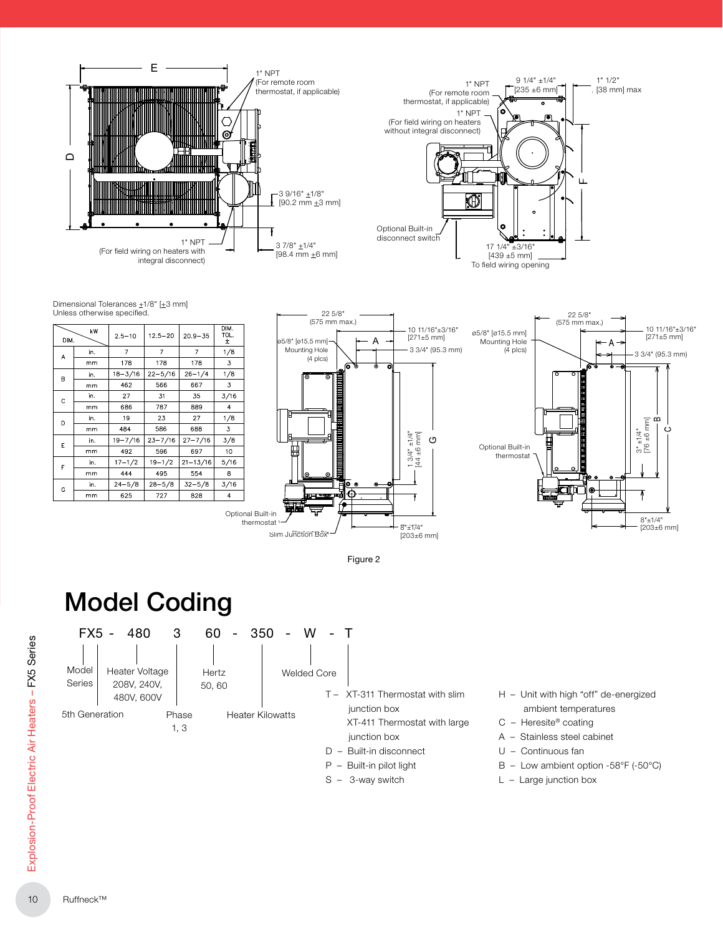

Dimensional Tolerances  $\pm 1/8$ " [ $\pm 3$  mm] Unless otherwise specified.

| DIM. | kW  | $2.5 - 10$  | $12.5 - 20$ | $20.9 - 35$    | DIM.<br>TOL.<br>土 |
|------|-----|-------------|-------------|----------------|-------------------|
| A    | in. | 7           | 7           | $\overline{7}$ | 1/8               |
|      | mm  | 178         | 178         | 178            | 3                 |
| B    | in. | $18 - 3/16$ | $22 - 5/16$ | $26 - 1/4$     | 1/8               |
|      | mm  | 462         | 566         | 667            | 3                 |
| Ċ    | in. | 27          | 31          | 35             | 3/16              |
|      | mm  | 686         | 787         | 889            | 4                 |
| D    | in. | 19          | 23          | 27             | 1/8               |
|      | mm  | 484         | 586         | 688            | 3                 |
| E    | in. | $19 - 7/16$ | 23-7/16     | $27 - 7/16$    | 3/8               |
|      | mm  | 492         | 596         | 697            | 10                |
|      | in. | $17 - 1/2$  | $19 - 1/2$  | $21 - 13/16$   | 5/16              |
| F    | mm  | 444         | 495         | 554            | 8                 |
| G    | in. | $24 - 5/8$  | $28 - 5/8$  | $32 - 5/8$     | 3/16              |
|      | mm  | 625         | 727         | 828            | 4                 |





Figure 2